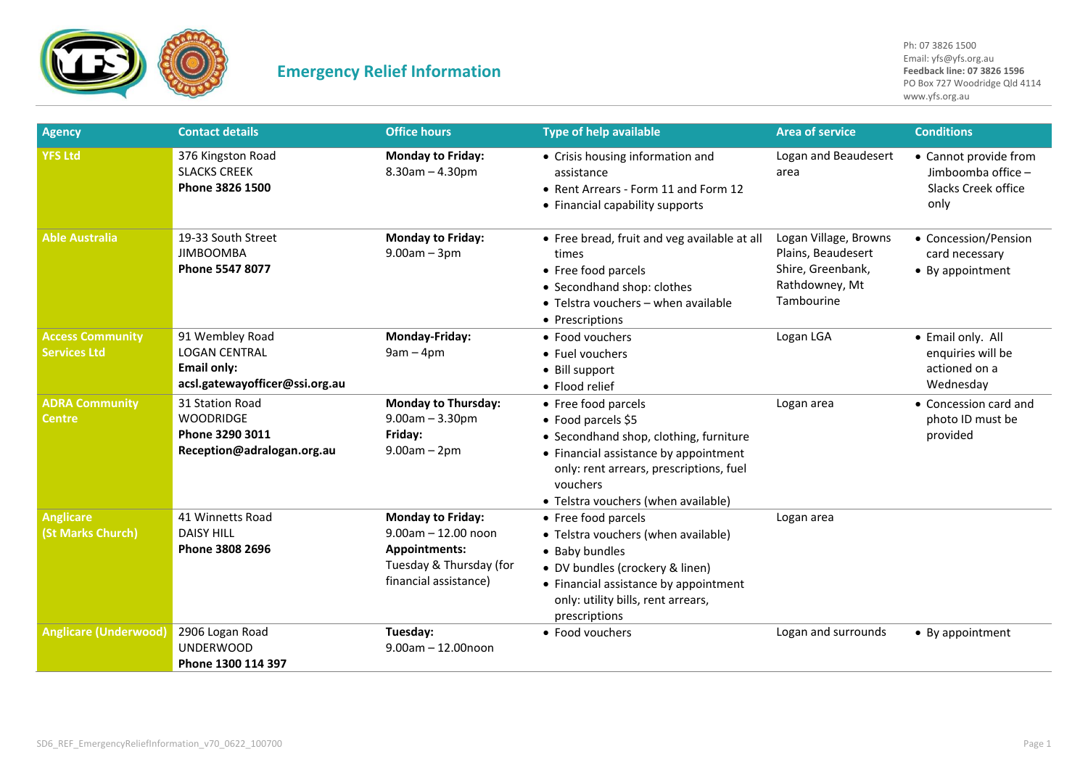

| <b>Agency</b>                                  | <b>Contact details</b>                                                                          | <b>Office hours</b>                                                                                                       | <b>Type of help available</b>                                                                                                                                                                                              | <b>Area of service</b>                                                                           | <b>Conditions</b>                                                          |
|------------------------------------------------|-------------------------------------------------------------------------------------------------|---------------------------------------------------------------------------------------------------------------------------|----------------------------------------------------------------------------------------------------------------------------------------------------------------------------------------------------------------------------|--------------------------------------------------------------------------------------------------|----------------------------------------------------------------------------|
| <b>YFS Ltd</b>                                 | 376 Kingston Road<br><b>SLACKS CREEK</b><br>Phone 3826 1500                                     | <b>Monday to Friday:</b><br>$8.30$ am $- 4.30$ pm                                                                         | • Crisis housing information and<br>assistance<br>• Rent Arrears - Form 11 and Form 12<br>• Financial capability supports                                                                                                  | Logan and Beaudesert<br>area                                                                     | • Cannot provide from<br>Jimboomba office -<br>Slacks Creek office<br>only |
| <b>Able Australia</b>                          | 19-33 South Street<br><b>JIMBOOMBA</b><br>Phone 5547 8077                                       | <b>Monday to Friday:</b><br>$9.00am - 3pm$                                                                                | • Free bread, fruit and veg available at all<br>times<br>• Free food parcels<br>• Secondhand shop: clothes<br>• Telstra vouchers - when available<br>• Prescriptions                                                       | Logan Village, Browns<br>Plains, Beaudesert<br>Shire, Greenbank,<br>Rathdowney, Mt<br>Tambourine | • Concession/Pension<br>card necessary<br>• By appointment                 |
| <b>Access Community</b><br><b>Services Ltd</b> | 91 Wembley Road<br><b>LOGAN CENTRAL</b><br><b>Email only:</b><br>acsl.gatewayofficer@ssi.org.au | Monday-Friday:<br>$9am - 4pm$                                                                                             | • Food vouchers<br>• Fuel vouchers<br>• Bill support<br>• Flood relief                                                                                                                                                     | Logan LGA                                                                                        | • Email only. All<br>enquiries will be<br>actioned on a<br>Wednesday       |
| <b>ADRA Community</b><br>Centre                | 31 Station Road<br><b>WOODRIDGE</b><br>Phone 3290 3011<br>Reception@adralogan.org.au            | <b>Monday to Thursday:</b><br>$9.00am - 3.30pm$<br>Friday:<br>$9.00am - 2pm$                                              | • Free food parcels<br>• Food parcels \$5<br>• Secondhand shop, clothing, furniture<br>• Financial assistance by appointment<br>only: rent arrears, prescriptions, fuel<br>vouchers<br>• Telstra vouchers (when available) | Logan area                                                                                       | • Concession card and<br>photo ID must be<br>provided                      |
| <b>Anglicare</b><br>(St Marks Church)          | 41 Winnetts Road<br><b>DAISY HILL</b><br>Phone 3808 2696                                        | <b>Monday to Friday:</b><br>$9.00$ am $- 12.00$ noon<br>Appointments:<br>Tuesday & Thursday (for<br>financial assistance) | • Free food parcels<br>• Telstra vouchers (when available)<br>• Baby bundles<br>• DV bundles (crockery & linen)<br>• Financial assistance by appointment<br>only: utility bills, rent arrears,<br>prescriptions            | Logan area                                                                                       |                                                                            |
| <b>Anglicare (Underwood)</b>                   | 2906 Logan Road<br><b>UNDERWOOD</b><br>Phone 1300 114 397                                       | Tuesday:<br>$9.00$ am $- 12.00$ noon                                                                                      | • Food vouchers                                                                                                                                                                                                            | Logan and surrounds                                                                              | • By appointment                                                           |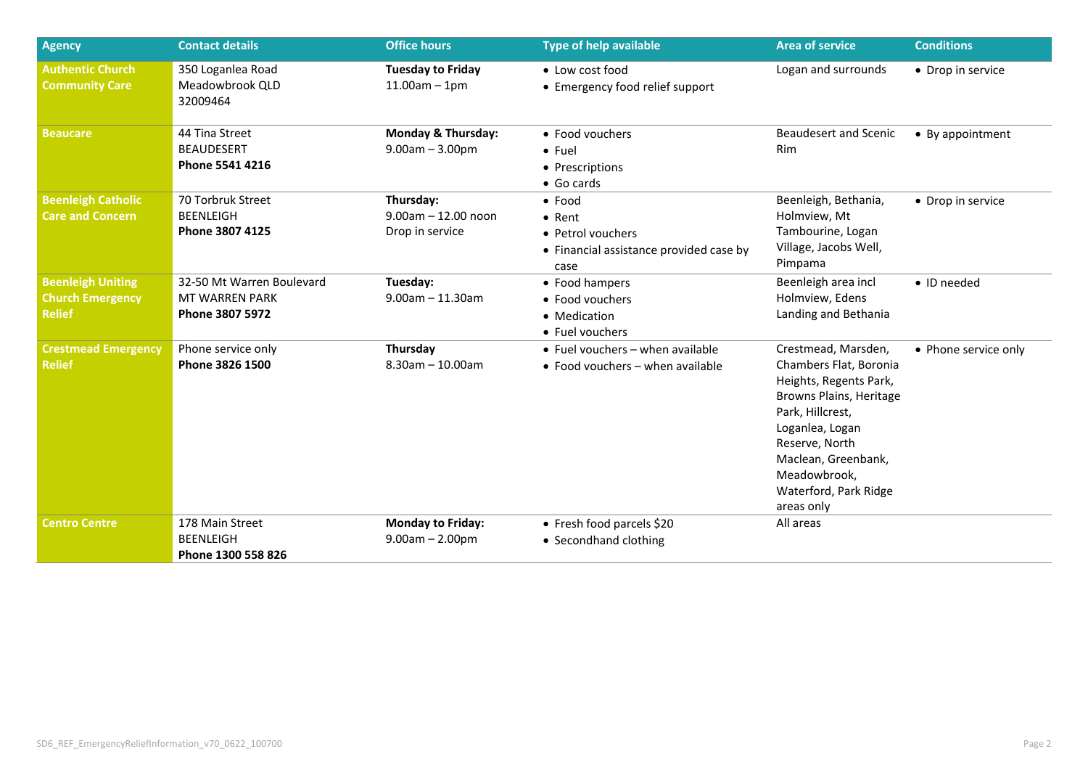| <b>Agency</b>                                                        | <b>Contact details</b>                                                | <b>Office hours</b>                                      | <b>Type of help available</b>                                                                            | <b>Area of service</b>                                                                                                                                                                                                                    | <b>Conditions</b>    |
|----------------------------------------------------------------------|-----------------------------------------------------------------------|----------------------------------------------------------|----------------------------------------------------------------------------------------------------------|-------------------------------------------------------------------------------------------------------------------------------------------------------------------------------------------------------------------------------------------|----------------------|
| <b>Authentic Church</b><br><b>Community Care</b>                     | 350 Loganlea Road<br>Meadowbrook QLD<br>32009464                      | <b>Tuesday to Friday</b><br>$11.00am - 1pm$              | • Low cost food<br>• Emergency food relief support                                                       | Logan and surrounds                                                                                                                                                                                                                       | • Drop in service    |
| <b>Beaucare</b>                                                      | 44 Tina Street<br><b>BEAUDESERT</b><br>Phone 5541 4216                | <b>Monday &amp; Thursday:</b><br>$9.00am - 3.00pm$       | • Food vouchers<br>$\bullet$ Fuel<br>• Prescriptions<br>• Go cards                                       | <b>Beaudesert and Scenic</b><br><b>Rim</b>                                                                                                                                                                                                | • By appointment     |
| <b>Beenleigh Catholic</b><br><b>Care and Concern</b>                 | 70 Torbruk Street<br><b>BEENLEIGH</b><br>Phone 3807 4125              | Thursday:<br>$9.00$ am $- 12.00$ noon<br>Drop in service | $\bullet$ Food<br>$\bullet$ Rent<br>• Petrol vouchers<br>• Financial assistance provided case by<br>case | Beenleigh, Bethania,<br>Holmview, Mt<br>Tambourine, Logan<br>Village, Jacobs Well,<br>Pimpama                                                                                                                                             | • Drop in service    |
| <b>Beenleigh Uniting</b><br><b>Church Emergency</b><br><b>Relief</b> | 32-50 Mt Warren Boulevard<br><b>MT WARREN PARK</b><br>Phone 3807 5972 | Tuesday:<br>$9.00$ am $- 11.30$ am                       | • Food hampers<br>• Food vouchers<br>• Medication<br>• Fuel vouchers                                     | Beenleigh area incl<br>Holmview, Edens<br>Landing and Bethania                                                                                                                                                                            | • ID needed          |
| <b>Crestmead Emergency</b><br><b>Relief</b>                          | Phone service only<br>Phone 3826 1500                                 | Thursday<br>$8.30$ am $- 10.00$ am                       | • Fuel vouchers - when available<br>• Food vouchers $-$ when available                                   | Crestmead, Marsden,<br>Chambers Flat, Boronia<br>Heights, Regents Park,<br>Browns Plains, Heritage<br>Park, Hillcrest,<br>Loganlea, Logan<br>Reserve, North<br>Maclean, Greenbank,<br>Meadowbrook,<br>Waterford, Park Ridge<br>areas only | • Phone service only |
| <b>Centro Centre</b>                                                 | 178 Main Street<br><b>BEENLEIGH</b><br>Phone 1300 558 826             | <b>Monday to Friday:</b><br>$9.00am - 2.00pm$            | • Fresh food parcels \$20<br>• Secondhand clothing                                                       | All areas                                                                                                                                                                                                                                 |                      |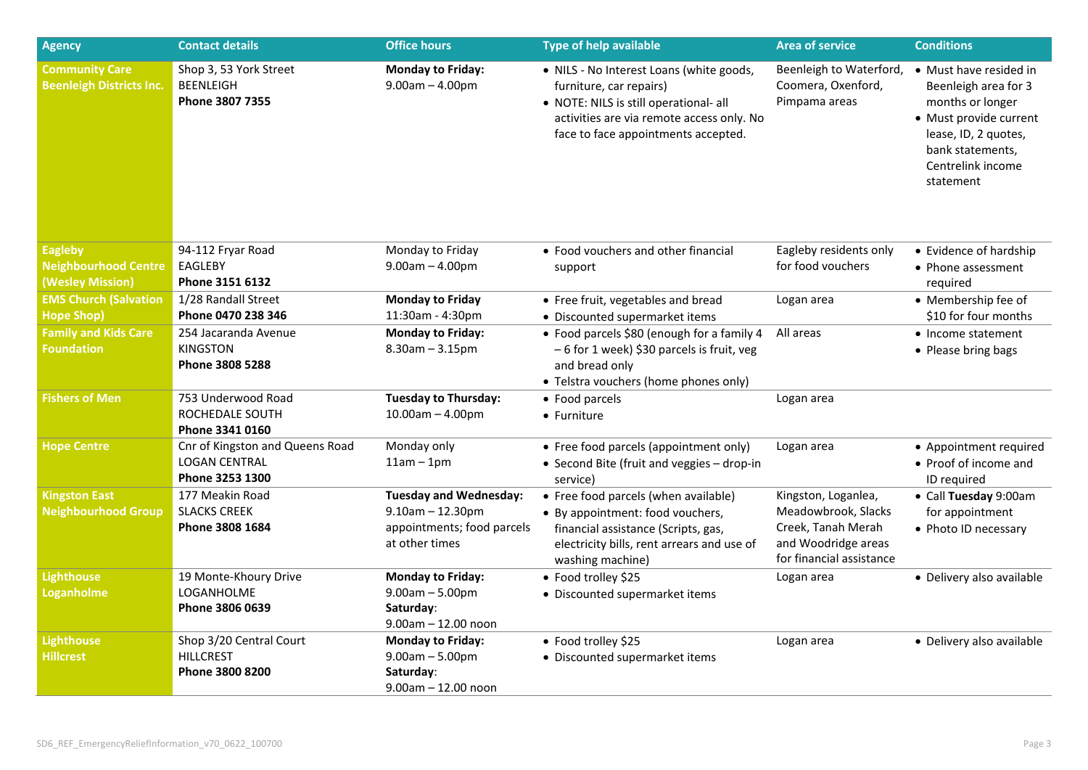| <b>Agency</b>                                                     | <b>Contact details</b>                                                     | <b>Office hours</b>                                                                                     | <b>Type of help available</b>                                                                                                                                                                     | <b>Area of service</b>                                                                                              | <b>Conditions</b>                                                                                                                                                          |
|-------------------------------------------------------------------|----------------------------------------------------------------------------|---------------------------------------------------------------------------------------------------------|---------------------------------------------------------------------------------------------------------------------------------------------------------------------------------------------------|---------------------------------------------------------------------------------------------------------------------|----------------------------------------------------------------------------------------------------------------------------------------------------------------------------|
| <b>Community Care</b><br><b>Beenleigh Districts Inc.</b>          | Shop 3, 53 York Street<br><b>BEENLEIGH</b><br>Phone 3807 7355              | <b>Monday to Friday:</b><br>$9.00am - 4.00pm$                                                           | • NILS - No Interest Loans (white goods,<br>furniture, car repairs)<br>• NOTE: NILS is still operational- all<br>activities are via remote access only. No<br>face to face appointments accepted. | Beenleigh to Waterford,<br>Coomera, Oxenford,<br>Pimpama areas                                                      | • Must have resided in<br>Beenleigh area for 3<br>months or longer<br>• Must provide current<br>lease, ID, 2 quotes,<br>bank statements,<br>Centrelink income<br>statement |
| <b>Eagleby</b><br><b>Neighbourhood Centre</b><br>(Wesley Mission) | 94-112 Fryar Road<br>EAGLEBY<br>Phone 3151 6132                            | Monday to Friday<br>$9.00am - 4.00pm$                                                                   | • Food vouchers and other financial<br>support                                                                                                                                                    | Eagleby residents only<br>for food vouchers                                                                         | • Evidence of hardship<br>• Phone assessment<br>required                                                                                                                   |
| <b>EMS Church (Salvation</b><br><b>Hope Shop)</b>                 | 1/28 Randall Street<br>Phone 0470 238 346                                  | <b>Monday to Friday</b><br>11:30am - 4:30pm                                                             | • Free fruit, vegetables and bread<br>• Discounted supermarket items                                                                                                                              | Logan area                                                                                                          | • Membership fee of<br>\$10 for four months                                                                                                                                |
| <b>Family and Kids Care</b><br><b>Foundation</b>                  | 254 Jacaranda Avenue<br><b>KINGSTON</b><br>Phone 3808 5288                 | <b>Monday to Friday:</b><br>$8.30$ am $- 3.15$ pm                                                       | • Food parcels \$80 (enough for a family 4<br>- 6 for 1 week) \$30 parcels is fruit, veg<br>and bread only<br>• Telstra vouchers (home phones only)                                               | All areas                                                                                                           | • Income statement<br>• Please bring bags                                                                                                                                  |
| <b>Fishers of Men</b>                                             | 753 Underwood Road<br>ROCHEDALE SOUTH<br>Phone 3341 0160                   | <b>Tuesday to Thursday:</b><br>$10.00$ am $- 4.00$ pm                                                   | • Food parcels<br>• Furniture                                                                                                                                                                     | Logan area                                                                                                          |                                                                                                                                                                            |
| <b>Hope Centre</b>                                                | Cnr of Kingston and Queens Road<br><b>LOGAN CENTRAL</b><br>Phone 3253 1300 | Monday only<br>$11am - 1pm$                                                                             | • Free food parcels (appointment only)<br>• Second Bite (fruit and veggies - drop-in<br>service)                                                                                                  | Logan area                                                                                                          | • Appointment required<br>• Proof of income and<br>ID required                                                                                                             |
| <b>Kingston East</b><br><b>Neighbourhood Group</b>                | 177 Meakin Road<br><b>SLACKS CREEK</b><br>Phone 3808 1684                  | <b>Tuesday and Wednesday:</b><br>$9.10$ am $- 12.30$ pm<br>appointments; food parcels<br>at other times | • Free food parcels (when available)<br>• By appointment: food vouchers,<br>financial assistance (Scripts, gas,<br>electricity bills, rent arrears and use of<br>washing machine)                 | Kingston, Loganlea,<br>Meadowbrook, Slacks<br>Creek, Tanah Merah<br>and Woodridge areas<br>for financial assistance | • Call Tuesday 9:00am<br>for appointment<br>• Photo ID necessary                                                                                                           |
| <b>Lighthouse</b><br><b>Loganholme</b>                            | 19 Monte-Khoury Drive<br>LOGANHOLME<br>Phone 3806 0639                     | <b>Monday to Friday:</b><br>$9.00am - 5.00pm$<br>Saturday:<br>$9.00$ am $- 12.00$ noon                  | • Food trolley \$25<br>• Discounted supermarket items                                                                                                                                             | Logan area                                                                                                          | • Delivery also available                                                                                                                                                  |
| <b>Lighthouse</b><br><b>Hillcrest</b>                             | Shop 3/20 Central Court<br><b>HILLCREST</b><br>Phone 3800 8200             | <b>Monday to Friday:</b><br>$9.00am - 5.00pm$<br>Saturday:<br>$9.00$ am $- 12.00$ noon                  | • Food trolley \$25<br>• Discounted supermarket items                                                                                                                                             | Logan area                                                                                                          | • Delivery also available                                                                                                                                                  |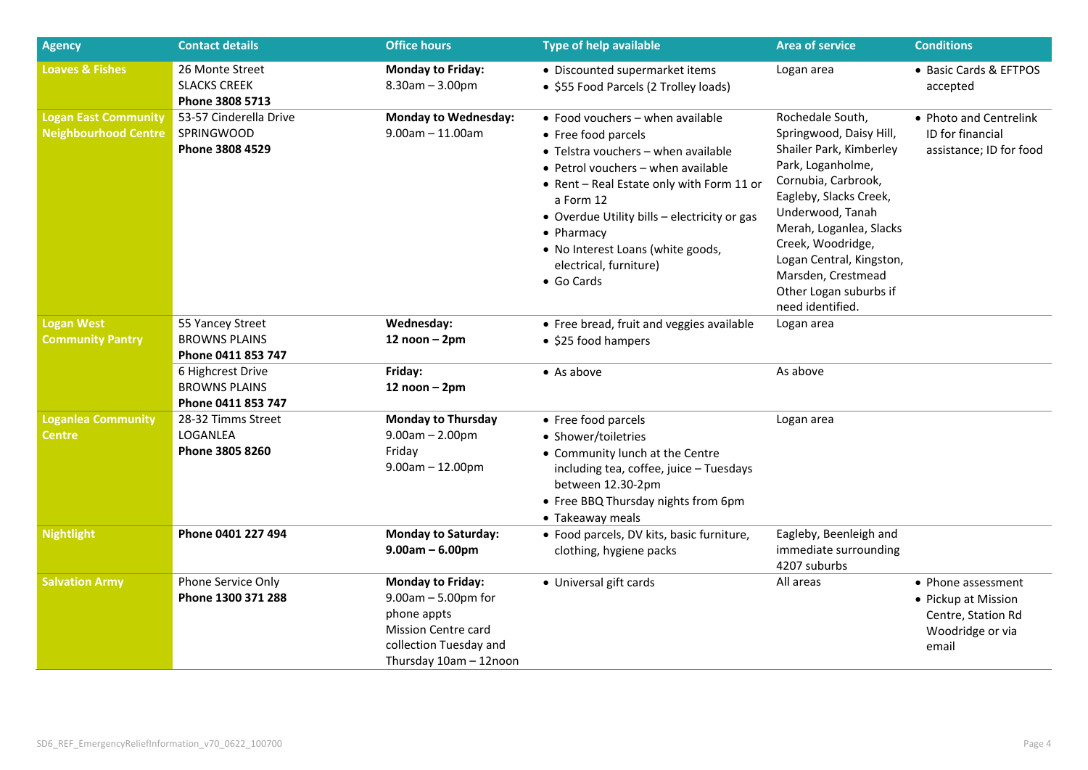| <b>Agency</b>                                              | <b>Contact details</b>                                          | <b>Office hours</b>                                                                                                                                | <b>Type of help available</b>                                                                                                                                                                                                                                                                                                               | <b>Area of service</b>                                                                                                                                                                                                                                                                                           | <b>Conditions</b>                                                                            |
|------------------------------------------------------------|-----------------------------------------------------------------|----------------------------------------------------------------------------------------------------------------------------------------------------|---------------------------------------------------------------------------------------------------------------------------------------------------------------------------------------------------------------------------------------------------------------------------------------------------------------------------------------------|------------------------------------------------------------------------------------------------------------------------------------------------------------------------------------------------------------------------------------------------------------------------------------------------------------------|----------------------------------------------------------------------------------------------|
| <b>Loaves &amp; Fishes</b>                                 | 26 Monte Street<br><b>SLACKS CREEK</b><br>Phone 3808 5713       | <b>Monday to Friday:</b><br>$8.30$ am $- 3.00$ pm                                                                                                  | • Discounted supermarket items<br>• \$55 Food Parcels (2 Trolley loads)                                                                                                                                                                                                                                                                     | Logan area                                                                                                                                                                                                                                                                                                       | • Basic Cards & EFTPOS<br>accepted                                                           |
| <b>Logan East Community</b><br><b>Neighbourhood Centre</b> | 53-57 Cinderella Drive<br><b>SPRINGWOOD</b><br>Phone 3808 4529  | <b>Monday to Wednesday:</b><br>$9.00$ am $- 11.00$ am                                                                                              | • Food vouchers $-$ when available<br>• Free food parcels<br>• Telstra vouchers - when available<br>• Petrol vouchers - when available<br>• Rent - Real Estate only with Form 11 or<br>a Form 12<br>• Overdue Utility bills - electricity or gas<br>• Pharmacy<br>• No Interest Loans (white goods,<br>electrical, furniture)<br>• Go Cards | Rochedale South,<br>Springwood, Daisy Hill,<br>Shailer Park, Kimberley<br>Park, Loganholme,<br>Cornubia, Carbrook,<br>Eagleby, Slacks Creek,<br>Underwood, Tanah<br>Merah, Loganlea, Slacks<br>Creek, Woodridge,<br>Logan Central, Kingston,<br>Marsden, Crestmead<br>Other Logan suburbs if<br>need identified. | • Photo and Centrelink<br><b>ID</b> for financial<br>assistance; ID for food                 |
| <b>Logan West</b><br><b>Community Pantry</b>               | 55 Yancey Street<br><b>BROWNS PLAINS</b><br>Phone 0411 853 747  | Wednesday:<br>$12$ noon $-2$ pm                                                                                                                    | • Free bread, fruit and veggies available<br>• \$25 food hampers                                                                                                                                                                                                                                                                            | Logan area                                                                                                                                                                                                                                                                                                       |                                                                                              |
|                                                            | 6 Highcrest Drive<br><b>BROWNS PLAINS</b><br>Phone 0411 853 747 | Friday:<br>$12$ noon $-2$ pm                                                                                                                       | $\bullet$ As above                                                                                                                                                                                                                                                                                                                          | As above                                                                                                                                                                                                                                                                                                         |                                                                                              |
| <b>Loganlea Community</b><br><b>Centre</b>                 | 28-32 Timms Street<br>LOGANLEA<br>Phone 3805 8260               | <b>Monday to Thursday</b><br>$9.00am - 2.00pm$<br>Friday<br>$9.00am - 12.00pm$                                                                     | • Free food parcels<br>• Shower/toiletries<br>• Community lunch at the Centre<br>including tea, coffee, juice - Tuesdays<br>between 12.30-2pm<br>• Free BBQ Thursday nights from 6pm<br>• Takeaway meals                                                                                                                                    | Logan area                                                                                                                                                                                                                                                                                                       |                                                                                              |
| <b>Nightlight</b>                                          | Phone 0401 227 494                                              | <b>Monday to Saturday:</b><br>$9.00am - 6.00pm$                                                                                                    | • Food parcels, DV kits, basic furniture,<br>clothing, hygiene packs                                                                                                                                                                                                                                                                        | Eagleby, Beenleigh and<br>immediate surrounding<br>4207 suburbs                                                                                                                                                                                                                                                  |                                                                                              |
| <b>Salvation Army</b>                                      | Phone Service Only<br>Phone 1300 371 288                        | <b>Monday to Friday:</b><br>$9.00am - 5.00pm$ for<br>phone appts<br><b>Mission Centre card</b><br>collection Tuesday and<br>Thursday 10am - 12noon | • Universal gift cards                                                                                                                                                                                                                                                                                                                      | All areas                                                                                                                                                                                                                                                                                                        | • Phone assessment<br>• Pickup at Mission<br>Centre, Station Rd<br>Woodridge or via<br>email |